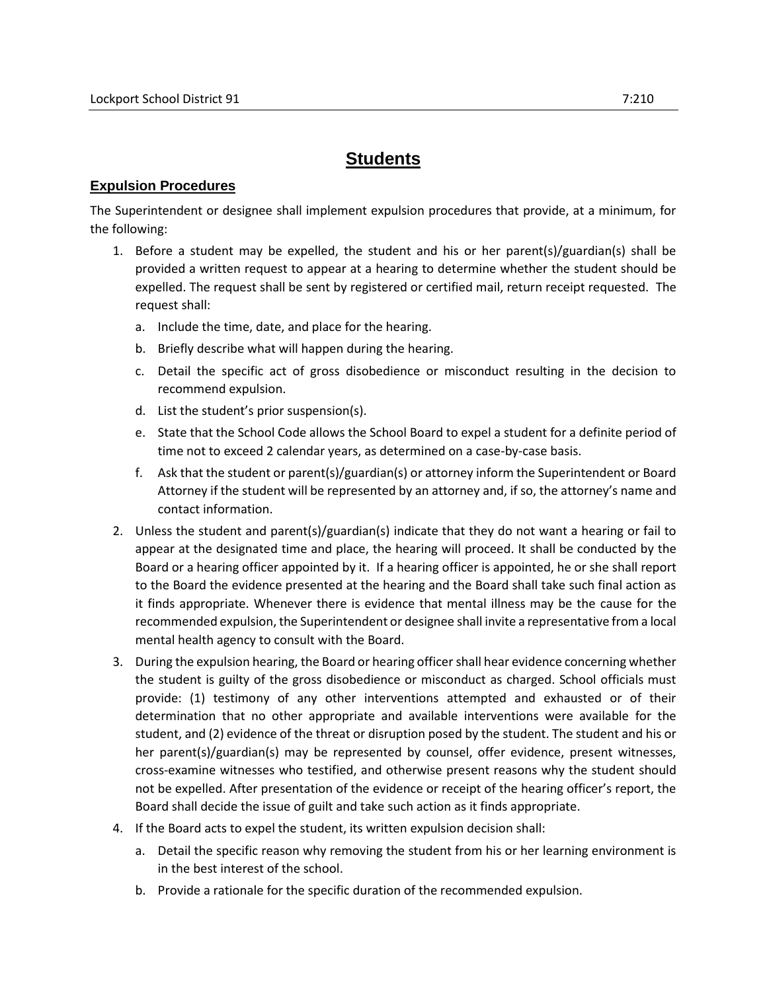## **Students**

## **Expulsion Procedures**

The Superintendent or designee shall implement expulsion procedures that provide, at a minimum, for the following:

- 1. Before a student may be expelled, the student and his or her parent(s)/guardian(s) shall be provided a written request to appear at a hearing to determine whether the student should be expelled. The request shall be sent by registered or certified mail, return receipt requested. The request shall:
	- a. Include the time, date, and place for the hearing.
	- b. Briefly describe what will happen during the hearing.
	- c. Detail the specific act of gross disobedience or misconduct resulting in the decision to recommend expulsion.
	- d. List the student's prior suspension(s).
	- e. State that the School Code allows the School Board to expel a student for a definite period of time not to exceed 2 calendar years, as determined on a case-by-case basis.
	- f. Ask that the student or parent(s)/guardian(s) or attorney inform the Superintendent or Board Attorney if the student will be represented by an attorney and, if so, the attorney's name and contact information.
- 2. Unless the student and parent(s)/guardian(s) indicate that they do not want a hearing or fail to appear at the designated time and place, the hearing will proceed. It shall be conducted by the Board or a hearing officer appointed by it. If a hearing officer is appointed, he or she shall report to the Board the evidence presented at the hearing and the Board shall take such final action as it finds appropriate. Whenever there is evidence that mental illness may be the cause for the recommended expulsion, the Superintendent or designee shall invite a representative from a local mental health agency to consult with the Board.
- 3. During the expulsion hearing, the Board or hearing officer shall hear evidence concerning whether the student is guilty of the gross disobedience or misconduct as charged. School officials must provide: (1) testimony of any other interventions attempted and exhausted or of their determination that no other appropriate and available interventions were available for the student, and (2) evidence of the threat or disruption posed by the student. The student and his or her parent(s)/guardian(s) may be represented by counsel, offer evidence, present witnesses, cross-examine witnesses who testified, and otherwise present reasons why the student should not be expelled. After presentation of the evidence or receipt of the hearing officer's report, the Board shall decide the issue of guilt and take such action as it finds appropriate.
- 4. If the Board acts to expel the student, its written expulsion decision shall:
	- a. Detail the specific reason why removing the student from his or her learning environment is in the best interest of the school.
	- b. Provide a rationale for the specific duration of the recommended expulsion.